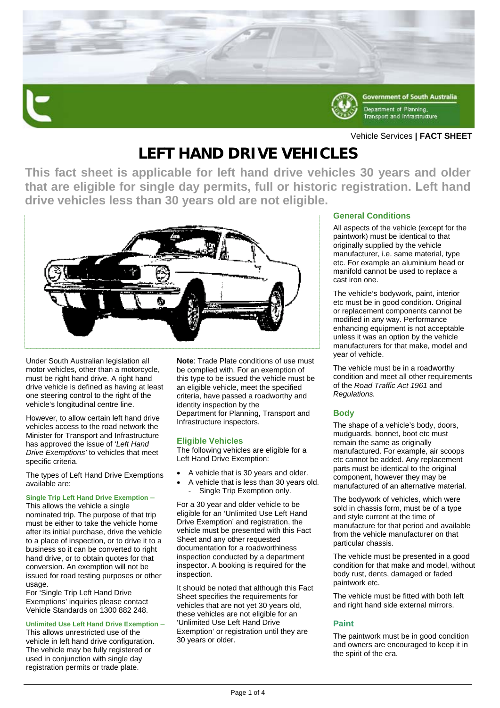

### Vehicle Services **| FACT SHEET**

# **LEFT HAND DRIVE VEHICLES**

**This fact sheet is applicable for left hand drive vehicles 30 years and older that are eligible for single day permits, full or historic registration. Left hand drive vehicles less than 30 years old are not eligible.** 



Under South Australian legislation all motor vehicles, other than a motorcycle, must be right hand drive. A right hand drive vehicle is defined as having at least one steering control to the right of the vehicle's longitudinal centre line.

However, to allow certain left hand drive vehicles access to the road network the Minister for Transport and Infrastructure has approved the issue of '*Left Hand Drive Exemptions'* to vehicles that meet specific criteria.

The types of Left Hand Drive Exemptions available are:

#### **Single Trip Left Hand Drive Exemption** –

This allows the vehicle a single nominated trip. The purpose of that trip must be either to take the vehicle home after its initial purchase, drive the vehicle to a place of inspection, or to drive it to a business so it can be converted to right hand drive, or to obtain quotes for that conversion. An exemption will not be issued for road testing purposes or other usage.

For 'Single Trip Left Hand Drive Exemptions' inquiries please contact Vehicle Standards on 1300 882 248.

### **Unlimited Use Left Hand Drive Exemption** –

This allows unrestricted use of the vehicle in left hand drive configuration. The vehicle may be fully registered or used in conjunction with single day registration permits or trade plate.

**Note**: Trade Plate conditions of use must be complied with. For an exemption of this type to be issued the vehicle must be an eligible vehicle, meet the specified criteria, have passed a roadworthy and identity inspection by the Department for Planning, Transport and Infrastructure inspectors.

### **Eligible Vehicles**

The following vehicles are eligible for a Left Hand Drive Exemption:

- A vehicle that is 30 years and older.
- A vehicle that is less than 30 years old. Single Trip Exemption only.

For a 30 year and older vehicle to be eligible for an 'Unlimited Use Left Hand Drive Exemption' and registration, the vehicle must be presented with this Fact Sheet and any other requested documentation for a roadworthiness inspection conducted by a department inspector. A booking is required for the inspection.

It should be noted that although this Fact Sheet specifies the requirements for vehicles that are not yet 30 years old, these vehicles are not eligible for an 'Unlimited Use Left Hand Drive Exemption' or registration until they are 30 years or older.

### **General Conditions**

All aspects of the vehicle (except for the paintwork) must be identical to that originally supplied by the vehicle manufacturer, i.e. same material, type etc. For example an aluminium head or manifold cannot be used to replace a cast iron one.

The vehicle's bodywork, paint, interior etc must be in good condition. Original or replacement components cannot be modified in any way. Performance enhancing equipment is not acceptable unless it was an option by the vehicle manufacturers for that make, model and year of vehicle.

The vehicle must be in a roadworthy condition and meet all other requirements of the *Road Traffic Act 1961* and *Regulations.*

### **Body**

The shape of a vehicle's body, doors, mudguards, bonnet, boot etc must remain the same as originally manufactured. For example, air scoops etc cannot be added. Any replacement parts must be identical to the original component, however they may be manufactured of an alternative material.

The bodywork of vehicles, which were sold in chassis form, must be of a type and style current at the time of manufacture for that period and available from the vehicle manufacturer on that particular chassis.

The vehicle must be presented in a good condition for that make and model, without body rust, dents, damaged or faded paintwork etc.

The vehicle must be fitted with both left and right hand side external mirrors.

### **Paint**

The paintwork must be in good condition and owners are encouraged to keep it in the spirit of the era.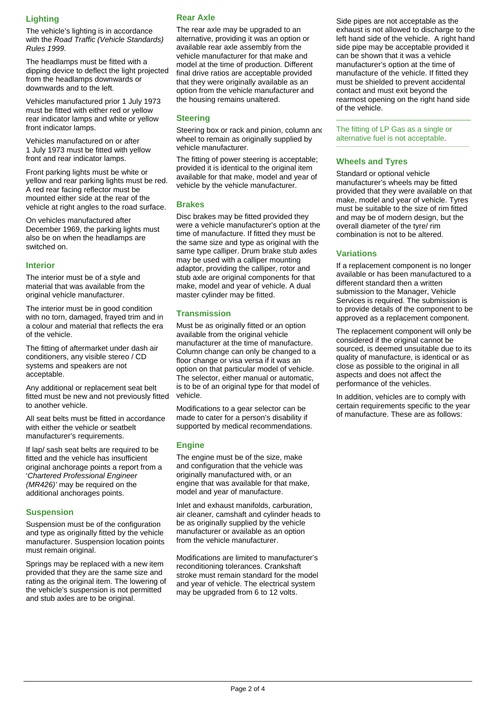## **Lighting**

The vehicle's lighting is in accordance with the *Road Traffic (Vehicle Standards) Rules 1999.*

The headlamps must be fitted with a dipping device to deflect the light projected from the headlamps downwards or downwards and to the left.

Vehicles manufactured prior 1 July 1973 must be fitted with either red or yellow rear indicator lamps and white or yellow front indicator lamps.

Vehicles manufactured on or after 1 July 1973 must be fitted with yellow front and rear indicator lamps.

Front parking lights must be white or yellow and rear parking lights must be red. A red rear facing reflector must be mounted either side at the rear of the vehicle at right angles to the road surface.

On vehicles manufactured after December 1969, the parking lights must also be on when the headlamps are switched on.

### **Interior**

The interior must be of a style and material that was available from the original vehicle manufacturer.

The interior must be in good condition with no torn, damaged, frayed trim and in a colour and material that reflects the era of the vehicle.

The fitting of aftermarket under dash air conditioners, any visible stereo / CD systems and speakers are not acceptable.

Any additional or replacement seat belt fitted must be new and not previously fitted to another vehicle.

All seat belts must be fitted in accordance with either the vehicle or seatbelt manufacturer's requirements.

If lap/ sash seat belts are required to be fitted and the vehicle has insufficient original anchorage points a report from a '*Chartered Professional Engineer (MR426)'* may be required on the additional anchorages points.

### **Suspension**

Suspension must be of the configuration and type as originally fitted by the vehicle manufacturer. Suspension location points must remain original.

Springs may be replaced with a new item provided that they are the same size and rating as the original item. The lowering of the vehicle's suspension is not permitted and stub axles are to be original.

### **Rear Axle**

The rear axle may be upgraded to an alternative, providing it was an option or available rear axle assembly from the vehicle manufacturer for that make and model at the time of production. Different final drive ratios are acceptable provided that they were originally available as an option from the vehicle manufacturer and the housing remains unaltered.

### **Steering**

Steering box or rack and pinion, column and wheel to remain as originally supplied by vehicle manufacturer.

The fitting of power steering is acceptable; provided it is identical to the original item available for that make, model and year of vehicle by the vehicle manufacturer.

### **Brakes**

Disc brakes may be fitted provided they were a vehicle manufacturer's option at the time of manufacture. If fitted they must be the same size and type as original with the same type calliper. Drum brake stub axles may be used with a calliper mounting adaptor, providing the calliper, rotor and stub axle are original components for that make, model and year of vehicle. A dual master cylinder may be fitted.

### **Transmission**

Must be as originally fitted or an option available from the original vehicle manufacturer at the time of manufacture. Column change can only be changed to a floor change or visa versa if it was an option on that particular model of vehicle. The selector, either manual or automatic, is to be of an original type for that model of vehicle.

Modifications to a gear selector can be made to cater for a person's disability if supported by medical recommendations.

### **Engine**

The engine must be of the size, make and configuration that the vehicle was originally manufactured with, or an engine that was available for that make, model and year of manufacture.

Inlet and exhaust manifolds, carburation, air cleaner, camshaft and cylinder heads to be as originally supplied by the vehicle manufacturer or available as an option from the vehicle manufacturer.

Modifications are limited to manufacturer's reconditioning tolerances. Crankshaft stroke must remain standard for the model and year of vehicle. The electrical system may be upgraded from 6 to 12 volts.

Side pipes are not acceptable as the exhaust is not allowed to discharge to the left hand side of the vehicle. A right hand side pipe may be acceptable provided it can be shown that it was a vehicle manufacturer's option at the time of manufacture of the vehicle. If fitted they must be shielded to prevent accidental contact and must exit beyond the rearmost opening on the right hand side of the vehicle.

The fitting of LP Gas as a single or alternative fuel is not acceptable.

\_\_\_\_\_\_\_\_\_\_\_\_\_\_\_\_\_\_\_\_\_\_\_\_\_\_\_\_\_\_\_\_

### **Wheels and Tyres**

Standard or optional vehicle manufacturer's wheels may be fitted provided that they were available on that make, model and year of vehicle. Tyres must be suitable to the size of rim fitted and may be of modern design, but the overall diameter of the tyre/ rim combination is not to be altered.

### **Variations**

If a replacement component is no longer available or has been manufactured to a different standard then a written submission to the Manager, Vehicle Services is required. The submission is to provide details of the component to be approved as a replacement component.

The replacement component will only be considered if the original cannot be sourced, is deemed unsuitable due to its quality of manufacture, is identical or as close as possible to the original in all aspects and does not affect the performance of the vehicles.

In addition, vehicles are to comply with certain requirements specific to the year of manufacture. These are as follows: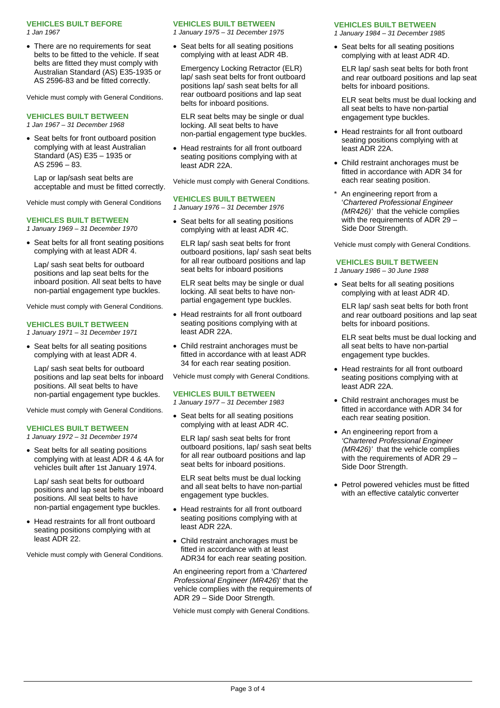#### **VEHICLES BUILT BEFORE**

*1 Jan 1967* 

• There are no requirements for seat belts to be fitted to the vehicle. If seat belts are fitted they must comply with Australian Standard (AS) E35-1935 or AS 2596-83 and be fitted correctly.

Vehicle must comply with General Conditions.

#### **VEHICLES BUILT BETWEEN**

*1 Jan 1967 – 31 December 1968* 

• Seat belts for front outboard position complying with at least Australian Standard (AS) E35 – 1935 or AS 2596 – 83.

Lap or lap/sash seat belts are acceptable and must be fitted correctly.

Vehicle must comply with General Conditions

#### **VEHICLES BUILT BETWEEN**

*1 January 1969 – 31 December 1970* 

• Seat belts for all front seating positions complying with at least ADR 4.

Lap/ sash seat belts for outboard positions and lap seat belts for the inboard position. All seat belts to have non-partial engagement type buckles.

Vehicle must comply with General Conditions.

### **VEHICLES BUILT BETWEEN**

*1 January 1971 – 31 December 1971* 

• Seat belts for all seating positions complying with at least ADR 4.

Lap/ sash seat belts for outboard positions and lap seat belts for inboard positions. All seat belts to have non-partial engagement type buckles.

Vehicle must comply with General Conditions.

#### **VEHICLES BUILT BETWEEN**

*1 January 1972 – 31 December 1974* 

• Seat belts for all seating positions complying with at least ADR 4 & 4A for vehicles built after 1st January 1974.

Lap/ sash seat belts for outboard positions and lap seat belts for inboard positions. All seat belts to have non-partial engagement type buckles.

• Head restraints for all front outboard seating positions complying with at least ADR 22.

Vehicle must comply with General Conditions.

#### **VEHICLES BUILT BETWEEN**

*1 January 1975 – 31 December 1975* 

• Seat belts for all seating positions complying with at least ADR 4B.

Emergency Locking Retractor (ELR) lap/ sash seat belts for front outboard positions lap/ sash seat belts for all rear outboard positions and lap seat belts for inboard positions.

ELR seat belts may be single or dual locking. All seat belts to have non-partial engagement type buckles.

 Head restraints for all front outboard seating positions complying with at least ADR 22A.

Vehicle must comply with General Conditions.

### **VEHICLES BUILT BETWEEN**

*1 January 1976 – 31 December 1976* 

• Seat belts for all seating positions complying with at least ADR 4C.

ELR lap/ sash seat belts for front outboard positions, lap/ sash seat belts for all rear outboard positions and lap seat belts for inboard positions

ELR seat belts may be single or dual locking. All seat belts to have nonpartial engagement type buckles.

- Head restraints for all front outboard seating positions complying with at least ADR 22A.
- Child restraint anchorages must be fitted in accordance with at least ADR 34 for each rear seating position.

Vehicle must comply with General Conditions.

#### **VEHICLES BUILT BETWEEN**

*1 January 1977 – 31 December 1983* 

• Seat belts for all seating positions complying with at least ADR 4C.

ELR lap/ sash seat belts for front outboard positions, lap/ sash seat belts for all rear outboard positions and lap seat belts for inboard positions.

ELR seat belts must be dual locking and all seat belts to have non-partial engagement type buckles.

- Head restraints for all front outboard seating positions complying with at least ADR 22A.
- Child restraint anchorages must be fitted in accordance with at least ADR34 for each rear seating position.

An engineering report from a '*Chartered Professional Engineer (MR426*)' that the vehicle complies with the requirements of ADR 29 – Side Door Strength.

Vehicle must comply with General Conditions.

#### **VEHICLES BUILT BETWEEN**

*1 January 1984 – 31 December 1985* 

• Seat belts for all seating positions complying with at least ADR 4D.

ELR lap/ sash seat belts for both front and rear outboard positions and lap seat belts for inboard positions.

ELR seat belts must be dual locking and all seat belts to have non-partial engagement type buckles.

- Head restraints for all front outboard seating positions complying with at least ADR 22A.
- Child restraint anchorages must be fitted in accordance with ADR 34 for each rear seating position.
- An engineering report from a '*Chartered Professional Engineer (MR426)'* that the vehicle complies with the requirements of ADR 29 – Side Door Strength.

Vehicle must comply with General Conditions.

### **VEHICLES BUILT BETWEEN**

*1 January 1986 – 30 June 1988* 

• Seat belts for all seating positions complying with at least ADR 4D.

ELR lap/ sash seat belts for both front and rear outboard positions and lap seat belts for inboard positions.

ELR seat belts must be dual locking and all seat belts to have non-partial engagement type buckles.

- Head restraints for all front outboard seating positions complying with at least ADR 22A.
- Child restraint anchorages must be fitted in accordance with ADR 34 for each rear seating position.
- An engineering report from a *'Chartered Professional Engineer (MR426)'* that the vehicle complies with the requirements of ADR 29 – Side Door Strength.
- Petrol powered vehicles must be fitted with an effective catalytic converter